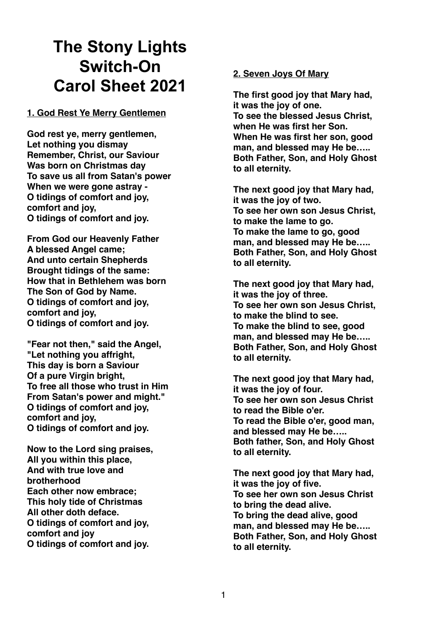# **The Stony Lights Switch-On Carol Sheet 2021**

**1. God Rest Ye Merry Gentlemen**

**God rest ye, merry gentlemen, Let nothing you dismay Remember, Christ, our Saviour Was born on Christmas day To save us all from Satan's power When we were gone astray - O tidings of comfort and joy, comfort and joy, O tidings of comfort and joy.** 

**From God our Heavenly Father A blessed Angel came; And unto certain Shepherds Brought tidings of the same: How that in Bethlehem was born The Son of God by Name. O tidings of comfort and joy, comfort and joy, O tidings of comfort and joy.** 

**"Fear not then," said the Angel, "Let nothing you affright, This day is born a Saviour Of a pure Virgin bright, To free all those who trust in Him From Satan's power and might." O tidings of comfort and joy, comfort and joy, O tidings of comfort and joy.** 

**Now to the Lord sing praises, All you within this place, And with true love and brotherhood Each other now embrace; This holy tide of Christmas All other doth deface. O tidings of comfort and joy, comfort and joy O tidings of comfort and joy.** 

## **2. Seven Joys Of Mary**

**The first good joy that Mary had, it was the joy of one. To see the blessed Jesus Christ, when He was first her Son. When He was first her son, good man, and blessed may He be….. Both Father, Son, and Holy Ghost to all eternity.** 

**The next good joy that Mary had, it was the joy of two. To see her own son Jesus Christ, to make the lame to go. To make the lame to go, good man, and blessed may He be….. Both Father, Son, and Holy Ghost to all eternity.** 

**The next good joy that Mary had, it was the joy of three. To see her own son Jesus Christ, to make the blind to see. To make the blind to see, good man, and blessed may He be….. Both Father, Son, and Holy Ghost to all eternity.** 

**The next good joy that Mary had, it was the joy of four. To see her own son Jesus Christ to read the Bible o'er. To read the Bible o'er, good man, and blessed may He be….. Both father, Son, and Holy Ghost to all eternity.** 

**The next good joy that Mary had, it was the joy of five. To see her own son Jesus Christ to bring the dead alive. To bring the dead alive, good man, and blessed may He be….. Both Father, Son, and Holy Ghost to all eternity.**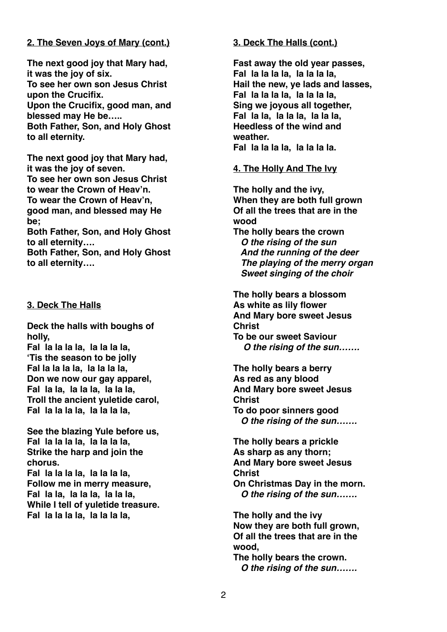# **2. The Seven Joys of Mary (cont.)**

**The next good joy that Mary had, it was the joy of six. To see her own son Jesus Christ upon the Crucifix. Upon the Crucifix, good man, and blessed may He be….. Both Father, Son, and Holy Ghost to all eternity.** 

**The next good joy that Mary had, it was the joy of seven. To see her own son Jesus Christ to wear the Crown of Heav'n. To wear the Crown of Heav'n, good man, and blessed may He be;** 

**Both Father, Son, and Holy Ghost to all eternity….**

**Both Father, Son, and Holy Ghost to all eternity….** 

# **3. Deck The Halls**

**Deck the halls with boughs of holly,** 

**Fal la la la la, la la la la, 'Tis the season to be jolly Fal la la la la, la la la la, Don we now our gay apparel, Fal la la, la la la, la la la, Troll the ancient yuletide carol, Fal la la la la, la la la la,** 

**See the blazing Yule before us, Fal la la la la, la la la la, Strike the harp and join the chorus.** 

**Fal la la la la, la la la la, Follow me in merry measure, Fal la la, la la la, la la la, While I tell of yuletide treasure. Fal la la la la, la la la la,** 

# **3. Deck The Halls (cont.)**

**Fast away the old year passes, Fal la la la la, la la la la, Hail the new, ye lads and lasses, Fal la la la la, la la la la, Sing we joyous all together, Fal la la, la la la, la la la, Heedless of the wind and weather. Fal la la la la, la la la la.** 

## **4. The Holly And The Ivy**

**The holly and the ivy, When they are both full grown Of all the trees that are in the wood** 

**The holly bears the crown** *O the rising of the sun And the running of the deer The playing of the merry organ Sweet singing of the choir* 

**The holly bears a blossom As white as lily flower And Mary bore sweet Jesus Christ To be our sweet Saviour** *O the rising of the sun…….* 

**The holly bears a berry As red as any blood And Mary bore sweet Jesus Christ To do poor sinners good** *O the rising of the sun…….* 

**The holly bears a prickle As sharp as any thorn; And Mary bore sweet Jesus Christ On Christmas Day in the morn.**   *O the rising of the sun…….* 

**The holly and the ivy Now they are both full grown, Of all the trees that are in the wood,** 

**The holly bears the crown.** *O the rising of the sun…….*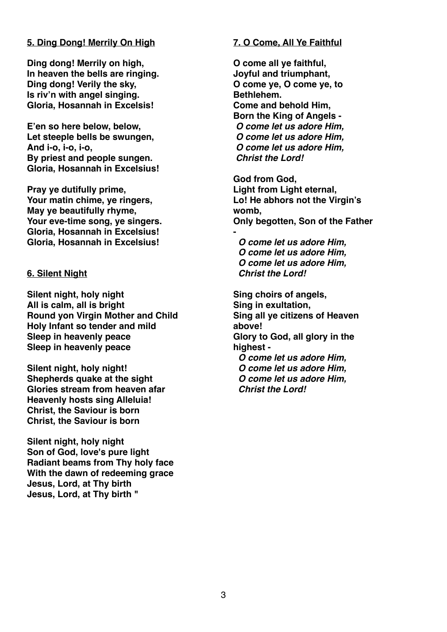## **5. Ding Dong! Merrily On High**

**Ding dong! Merrily on high, In heaven the bells are ringing. Ding dong! Verily the sky, Is riv'n with angel singing. Gloria, Hosannah in Excelsis!** 

**E'en so here below, below, Let steeple bells be swungen, And i-o, i-o, i-o, By priest and people sungen. Gloria, Hosannah in Excelsius!** 

**Pray ye dutifully prime, Your matin chime, ye ringers, May ye beautifully rhyme, Your eve-time song, ye singers. Gloria, Hosannah in Excelsius! Gloria, Hosannah in Excelsius!** 

## **6. Silent Night**

**Silent night, holy night All is calm, all is bright Round yon Virgin Mother and Child Holy Infant so tender and mild Sleep in heavenly peace Sleep in heavenly peace** 

**Silent night, holy night! Shepherds quake at the sight Glories stream from heaven afar Heavenly hosts sing Alleluia! Christ, the Saviour is born Christ, the Saviour is born** 

**Silent night, holy night Son of God, love's pure light Radiant beams from Thy holy face With the dawn of redeeming grace Jesus, Lord, at Thy birth Jesus, Lord, at Thy birth "** 

# **7. O Come, All Ye Faithful**

**O come all ye faithful, Joyful and triumphant, O come ye, O come ye, to Bethlehem. Come and behold Him, Born the King of Angels -**  *O come let us adore Him, O come let us adore Him, O come let us adore Him, Christ the Lord!* 

**God from God, Light from Light eternal, Lo! He abhors not the Virgin's womb, Only begotten, Son of the Father** 

*O come let us adore Him, O come let us adore Him, O come let us adore Him, Christ the Lord!* 

**-**

**Sing choirs of angels, Sing in exultation, Sing all ye citizens of Heaven above! Glory to God, all glory in the highest -** *O come let us adore Him, O come let us adore Him, O come let us adore Him,* 

 *Christ the Lord!*